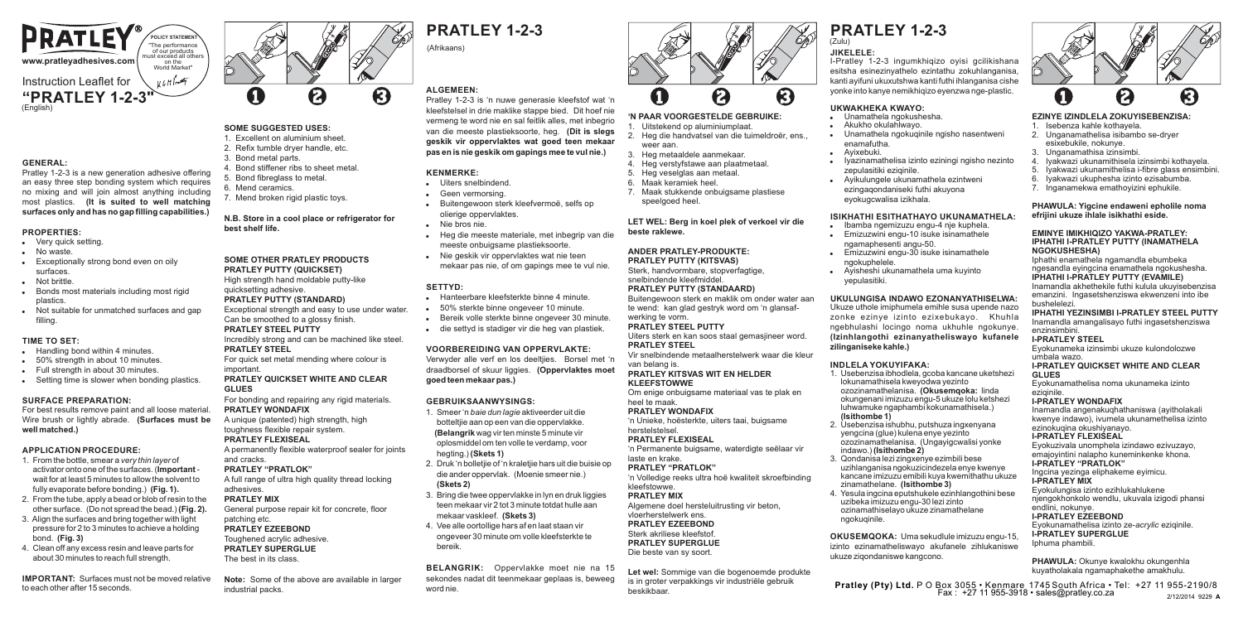

### **GENERAL:**

Pratley 1-2-3 is a new generation adhesive offering an easy three step bonding system which requires no mixing and will join almost anything including most plastics. **(It is suited to well matching surfaces only and has no gap filling capabilities.)**

### **PROPERTIES:**

- . Very quick setting.
- No waste
- Exceptionally strong bond even on oily surfaces.
- Not brittle
- Bonds most materials including most rigid plastics.
- . Not suitable for unmatched surfaces and gap filling.

### **TIME TO SET:**

- **Handling bond within 4 minutes**
- . 50% strength in about 10 minutes
- . Full strength in about 30 minutes.
- . Setting time is slower when bonding plastics.

### **SURFACE PREPARATION:**

For best results remove paint and all loose material. Wire brush or lightly abrade. **(Surfaces must be well matched.)**

### **APPLICATION PROCEDURE:**

- 1. From the bottle, smear a *very thin layer* of activator onto one of the surfaces. (**Important** wait for at least 5 minutes to allow the solvent to fully evaporate before bonding.) **(Fig. 1).**
- 2. From the tube, apply a bead or blob of resin to the other surface. (Do not spread the bead.) **(Fig. 2).** 3. Align the surfaces and bring together with light
- pressure for 2 to 3 minutes to achieve a holding bond. **(Fig. 3)**
- 4. Clean off any excess resin and leave parts for about 30 minutes to reach full strength.

**IMPORTANT:** Surfaces must not be moved relative to each other after 15 seconds.



ଭ

#### **SOME SUGGESTED USES:** 1. Excellent on aluminium sheet.

A

- 2. Refix tumble dryer handle, etc.
- 3. Bond metal parts.
- 4. Bond stiffener ribs to sheet metal.
- 5. Bond fibreglass to metal.
- 6. Mend ceramics. 7. Mend broken rigid plastic toys.

### **N.B. Store in a cool place or refrigerator for best shelf life.**

ีค

**SOME OTHER PRATLEY PRODUCTS PRATLEY PUTTY (QUICKSET)** High strength hand moldable putty-like

#### quicksetting adhesive. **PRATLEY PUTTY (STANDARD)**

- Exceptional strength and easy to use under water. Can be smoothed to a glossy finish. **PRATLEY STEEL PUTTY**
- Incredibly strong and can be machined like steel.

### **PRATLEY STEEL**

For quick set metal mending where colour is important.

### **PRATLEY OUICKSET WHITE AND CLEAR GLUES**

For bonding and repairing any rigid materials. **PRATLEY WONDAFIX**

### A unique (patented) high strength, high toughness flexible repair system.

### **PRATLEY FLEXISEAL**

A permanently flexible waterproof sealer for joints and cracks.

### **PRATLEY "PRATLOK"**

A full range of ultra high quality thread locking adhesives.

### **PRATLEY MIX**

General purpose repair kit for concrete, floor patching etc.

#### **PRATLEY EZEEBOND** Toughened acrylic adhesive. **PRATLEY SUPERGLUE** The best in its class.

**Note:** Some of the above are available in larger industrial packs.

## **PRATLEY 1-2-3**

### (Afrikaans)

### **ALGEMEEN:**

Pratley 1-2-3 is 'n nuwe generasie kleefstof wat 'n kleefstelsel in drie maklike stappe bied. Dit hoef nie vermeng te word nie en sal feitlik alles, met inbegrio van die meeste plastieksoorte, heg. **(Dit is slegs geskik vir oppervlaktes wat goed teen mekaar pas en is nie geskik om gapings mee te vul nie.)**

### **KENMERKE:**

- Uiters snelbindend.
- Geen vermorsing ! Buitengewoon sterk kleefvermoë, selfs op
- olierige oppervlaktes.
- Nie bros nie.
- ! Heg die meeste materiale, met inbegrip van die meeste onbuigsame plastieksoorte.
- Nie geskik vir oppervlaktes wat nie teen mekaar pas nie, of om gapings mee te vul nie.

### **SETTYD:**

- ! Hanteerbare kleefsterkte binne 4 minute.
- ! 50% sterkte binne ongeveer 10 minute.
- ! Bereik volle sterkte binne ongeveer 30 minute.
- . die settyd is stadiger vir die heg van plastiek.

### **VOORBEREIDING VAN OPPERVLAKTE:**

Verwyder alle verf en los deeltjies. Borsel met 'n draadborsel of skuur liggies. **(Oppervlaktes moet goed teen mekaar pas.)**

### **GEBRUIKSAANWYSINGS:**

- 1. Smeer 'n *baie dun lagie* aktiveerder uit die botteltjie aan op een van die oppervlakke. **(Belangrik** wag vir ten minste 5 minute vir oplosmiddel om ten volle te verdamp, voor hegting.) **(Skets 1)**
- 2. Druk 'n bolletjie of 'n kraletjie hars uit die buisie op die ander oppervlak. (Moenie smeer nie.) **(Skets 2)**
- 3. Bring die twee oppervlakke in lyn en druk liggies teen mekaar vir 2 tot 3 minute totdat hulle aan mekaar vaskleef. **(Skets 3)**
- 4. Vee alle oortollige hars af en laat staan vir ongeveer 30 minute om volle kleefsterkte te bereik.

**BELANGRIK:** Oppervlakke moet nie na 15 sekondes nadat dit teenmekaar geplaas is, beweeg word nie.



**PRATLEY 1-2-3**

**UKWAKHEKA KWAYO:** . Unamathela ngokushesha. ! Akukho okulahlwayo.

zepulasitiki eziqinile. . Avikulungele ukunamathela ezintweni ezingaqondaniseki futhi akuyona eyokugcwalisa izikhala.

enamafutha. ! Ayixebuki.

ngokuphelele.

**zilinganiseke kahle.) INDLELA YOKUYIFAKA:**

 **(Isithombe 1)**

ngokuqinile.

 indawo.) **(Isithombe 2)** 3. Qondanisa lezi zingxenye ezimbili bese uzihlanganisa ngokuzicindezela enye kwenye kancane imizuzu emibili kuya kwemithathu ukuze

 zinamathelane. **(Isithombe 3)** 4. Yesula ingcina eputshukele ezinhlangothini bese uzibeka imizuzu engu-30 lezi zinto ozinamathiselayo ukuze zinamathelane

ukuze ziqondaniswe kangcono.

yepulasitiki.

I-Pratley 1-2-3 ingumkhiqizo oyisi gcilikishana esitsha esinezinyathelo ezintathu zokuhlanganisa, kanti ayifuni ukuxutshwa kanti futhi ihlanganisa cishe yonke into kanye nemikhiqizo eyenzwa nge-plastic.

Unamathela ngokuqinile ngisho nasentweni

! Iyazinamathelisa izinto eziningi ngisho nezinto

**ISIKHATHI ESITHATHAYO UKUNAMATHELA:** ! Ibamba ngemizuzu engu-4 nje kuphela. . Emizuzwini engu-10 isuke isinamathele ngamaphesenti angu-50. ! Emizuzwini engu-30 isuke isinamathele

**UKULUNGISA INDAWO EZONANYATHISELWA:** Ukuze uthole imiphumela emihle susa upende nazo zonke ezinye izinto ezixebukayo. Khuhla ngebhulashi locingo noma ukhuhle ngokunye. **(Izinhlangothi ezinanyatheliswayo kufanele** 

1. Usebenzisa ibhodlela, gcoba kancane uketshezi lokunamathisela kweyodwa yezinto ozozinamathelanisa. **(Okusemqoka:** linda okungenani imizuzu engu-5 ukuze lolu ketshezi luhwamuke ngaphambi kokunamathisela.)

2. Usebenzisa ishubhu, putshuza ingxenyana yengcina (glue) kulena enye yezinto ozozinamathelanisa. (Ungayigcwalisi yonke

**OKUSEMQOKA:** Uma sekudlule imizuzu engu-15, izinto ezinamatheliswayo akufanele zihlukaniswe

. Ayisheshi ukunamathela uma kuyinto

**JIKELELE:**

 $(7)$ ulu)

### A **'N PAAR VOORGESTELDE GEBRUIKE:**

### 1. Uitstekend op aluminiumplaat.

- 2. Heg die handvatsel van die tuimeldroër, ens. weer aan.
- 3. Heg metaaldele aanmekaar. 4. Heg verstyfstawe aan plaatmetaal.
- 5. Heg veselglas aan metaal.
- 6. Maak keramiek heel.
- 7. Maak stukkende onbuigsame plastiese speelgoed heel.

### **LET WEL: Berg in koel plek of verkoel vir die beste raklewe.**

#### **ANDER PRATLEY-PRODUKTE: PRATLEY PUTTY (KITSVAS)**

Sterk, handvormbare, stopverfagtige snelbindende kleefmiddel.

#### **PRATLEY PUTTY (STANDAARD)** Buitengewoon sterk en maklik om onder water aan

#### te wend: kan glad gestryk word om 'n glansafwerking te vorm.

### **PRATLEY STEEL PUTTY**

Uiters sterk en kan soos staal gemasjineer word. **PRATLEY STEEL**

#### Vir snelbindende metaalherstelwerk waar die kleur van belang is.

#### **PRATLEY KITSVAS WIT EN HELDER KLEEFSTOWWE**

Om enige onbuigsame materiaal vas te plak en heel te maak.

### **PRATLEY WONDAFIX**

'n Unieke, hoësterkte, uiters taai, buigsame herstelstelsel. **PRATLEY FLEXISEAL**

### 'n Permanente buigsame, waterdigte seëlaar vir

laste en krake. **PRATLEY "PRATLOK"** 'n Volledige reeks ultra hoë kwaliteit skroefbinding

### kleefstowwe.

**PRATLEY MIX** Algemene doel hersteluitrusting vir beton,

### vloerherstelwerk ens. **PRATLEY EZEEBOND** Sterk akriliese kleefstof.

**PRATLEY SUPERGLUE** Die beste van sy soort.

Let wel: Sommige van die bogenoemde produkte is in groter verpakkings vir industriële gebruik beskikbaar.

**Pratley (Pty) Ltd.** P O Box 3055 • Kenmare 1745 South Africa • Tel: +27 11 955-2190/8 Fax : +27 11 955-3918 • sales@pratley.co.za

2/12/2014 9229 **A**

**EZINYE IZINDLELA ZOKUYISEBENZISA:** 1. Isebenza kahle kothayela. 2. Unganamathelisa isibambo se-dryer esixebukile, nokunye. 3. Unganamathisa izinsimbi.<br>4. Ivakwazi ukunamithisela i

ีค

4. Iyakwazi ukunamithisela izinsimbi kothayela. 5. Iyakwazi ukunamithelisa i-fibre glass ensimbini. 6. Iyakwazi ukuphesha izinto ezisabumba. 7. Inganamekwa emathoyizini ephukile. **PHAWULA: Yigcine endaweni epholile noma efrijini ukuze ihlale isikhathi eside. EMINYE IMIKHIQIZO YAKWA-PRATLEY: IPHATHI I-PRATLEY PUTTY (INAMATHELA**

Iphathi enamathela ngamandla ebumbeka ngesandla eyingcina enamathela ngokushesha. **IPHATHI I-PRATLEY PUTTY (EVAMILE)** Inamandla akhethekile futhi kulula ukuyisebenzisa emanzini. Ingasetshenziswa ekwenzeni into ibe

**IPHATHI YEZINSIMBI I-PRATLEY STEEL PUTTY** Inamandla amangalisayo futhi ingasetshenziswa

Eyokunameka izinsimbi ukuze kulondolozwe

**I-PRATLEY QUICKSET WHITE AND CLEAR** 

Inamandla angenakuqhathaniswa (ayitholakali kwenye indawo), ivumela ukunamethelisa izinto

Eyokuzivala unomphela izindawo ezivuzayo, emajoyintini nalapho kuneminkenke khona.

Eyokunamathelisa izinto ze-*acrylic* eziqinile.

**PHAWULA:** Okunye kwalokhu okungenhla kuyatholakala ngamaphakethe amakhulu.

Eyokulungisa izinto ezihlukahlukene njengokhonkolo wendlu, ukuvala izigodi phansi

Eyokunamathelisa noma ukunameka izinto

ezinokugina okushiyanayo. **I-PRATLEY FLEXISEAL**

**I-PRATLEY "PRATLOK"** Ingcina yezinga eliphakeme eyimicu.

**I-PRATLEY SUPERGLUE** Iphuma phambili.

**I-PRATLEY MIX** 

endlini, nokunye. **I-PRATLEY EZEEBOND**

**NGOKUSHESHA)**

Π

bushelelezi.

enzinsimbini. **I-PRATLEY STEEL**

umbala wazo.

**GLUES**

eziqinile. **I-PRATLEY WONDAFIX**